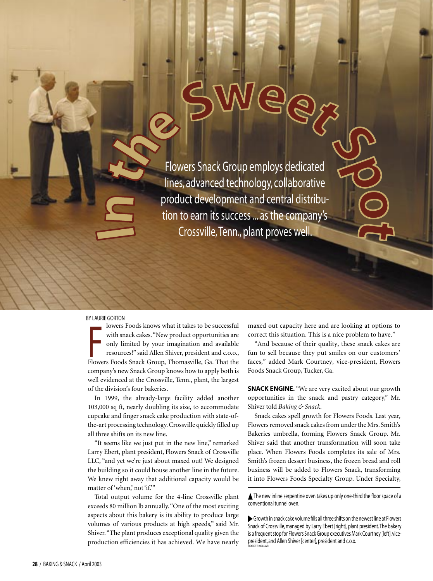Flowers Snack Group employs dedicated lines, advanced technology, collaborative product development and central distribution to earn its success ... as the company's Crossville, Tenn., plant proves well.

## BY LAURIE GORTON

with snack cakes. "New product opportunities are<br>only limited by your imagination and available<br>resources!" said Allen Shiver, president and c.o.o.,<br>Flowers Foods Snack Group, Thomasville, Ga. That the lowers Foods knows what it takes to be successful with snack cakes. "New product opportunities are only limited by your imagination and available resources!" said Allen Shiver, president and c.o.o., company's new Snack Group knows how to apply both is well evidenced at the Crossville, Tenn., plant, the largest of the division's four bakeries.

In 1999, the already-large facility added another 103,000 sq ft, nearly doubling its size, to accommodate cupcake and finger snack cake production with state-ofthe-art processing technology. Crossville quickly filled up all three shifts on its new line.

"It seems like we just put in the new line," remarked Larry Ebert, plant president, Flowers Snack of Crossville LLC, "and yet we're just about maxed out! We designed the building so it could house another line in the future. We knew right away that additional capacity would be matter of 'when,' not 'if.'"

Total output volume for the 4-line Crossville plant exceeds 80 million lb annually. "One of the most exciting aspects about this bakery is its ability to produce large volumes of various products at high speeds," said Mr. Shiver. "The plant produces exceptional quality given the production efficiencies it has achieved. We have nearly maxed out capacity here and are looking at options to correct this situation. This is a nice problem to have."

"And because of their quality, these snack cakes are fun to sell because they put smiles on our customers' faces," added Mark Courtney, vice-president, Flowers Foods Snack Group, Tucker, Ga.

**SNACK ENGINE.** "We are very excited about our growth opportunities in the snack and pastry category," Mr. Shiver told *Baking & Snack*.

Snack cakes spell growth for Flowers Foods. Last year, Flowers removed snack cakes from under the Mrs. Smith's Bakeries umbrella, forming Flowers Snack Group. Mr. Shiver said that another transformation will soon take place. When Flowers Foods completes its sale of Mrs. Smith's frozen dessert business, the frozen bread and roll business will be added to Flowers Snack, transforming it into Flowers Foods Specialty Group. Under Specialty,

▲ The new inline serpentine oven takes up only one-third the floor space of a conventional tunnel oven.

 Growth in snack cake volume fills all three shifts on the newest line at Flowers Snack of Crossville, managed by Larry Ebert [right], plant president. The bakery is a frequent stop for Flowers Snack Group executives Mark Courtney [left], vicepresident, and Allen Shiver [center], president and c.o.o. ROBERT KOLLAR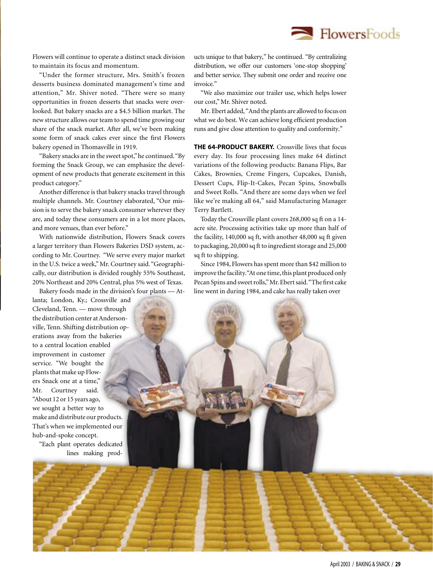Flowers will continue to operate a distinct snack division to maintain its focus and momentum.

"Under the former structure, Mrs. Smith's frozen desserts business dominated management's time and attention," Mr. Shiver noted. "There were so many opportunities in frozen desserts that snacks were overlooked. But bakery snacks are a \$4.5 billion market. The new structure allows our team to spend time growing our share of the snack market. After all, we've been making some form of snack cakes ever since the first Flowers bakery opened in Thomasville in 1919.

"Bakery snacks are in the sweet spot," he continued. "By forming the Snack Group, we can emphasize the development of new products that generate excitement in this product category."

Another difference is that bakery snacks travel through multiple channels. Mr. Courtney elaborated, "Our mission is to serve the bakery snack consumer wherever they are, and today these consumers are in a lot more places, and more venues, than ever before."

With nationwide distribution, Flowers Snack covers a larger territory than Flowers Bakeries DSD system, according to Mr. Courtney. "We serve every major market in the U.S. twice a week," Mr. Courtney said. "Geographically, our distribution is divided roughly 55% Southeast, 20% Northeast and 20% Central, plus 5% west of Texas.

Bakery foods made in the division's four plants — At-

lanta; London, Ky.; Crossville and Cleveland, Tenn. — move through the distribution center at Andersonville, Tenn. Shifting distribution operations away from the bakeries to a central location enabled improvement in customer service. "We bought the plants that make up Flowers Snack one at a time," Mr. Courtney said. "About 12 or 15 years ago, we sought a better way to make and distribute our products. That's when we implemented our hub-and-spoke concept.

"Each plant operates dedicated lines making prod-

ucts unique to that bakery," he continued. "By centralizing distribution, we offer our customers 'one-stop shopping' and better service. They submit one order and receive one invoice."

 $\blacksquare$  FlowersFoods

"We also maximize our trailer use, which helps lower our cost," Mr. Shiver noted.

Mr. Ebert added, "And the plants are allowed to focus on what we do best. We can achieve long efficient production runs and give close attention to quality and conformity."

**THE 64-PRODUCT BAKERY.** Crossville lives that focus every day. Its four processing lines make 64 distinct variations of the following products: Banana Flips, Bar Cakes, Brownies, Creme Fingers, Cupcakes, Danish, Dessert Cups, Flip-It-Cakes, Pecan Spins, Snowballs and Sweet Rolls. "And there are some days when we feel like we're making all 64," said Manufacturing Manager Terry Bartlett.

Today the Crossville plant covers 268,000 sq ft on a 14 acre site. Processing activities take up more than half of the facility, 140,000 sq ft, with another 48,000 sq ft given to packaging, 20,000 sq ft to ingredient storage and 25,000 sq ft to shipping.

Since 1984, Flowers has spent more than \$42 million to improve the facility. "At one time, this plant produced only Pecan Spins and sweet rolls," Mr. Ebert said. "The first cake line went in during 1984, and cake has really taken over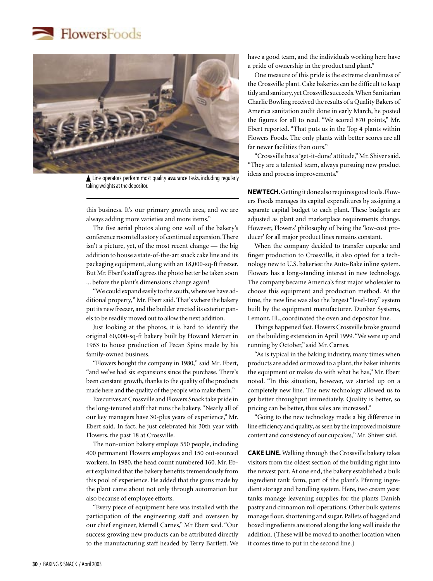



▲ Line operators perform most quality assurance tasks, including regularly taking weights at the depositor.

this business. It's our primary growth area, and we are always adding more varieties and more items."

The five aerial photos along one wall of the bakery's conference room tell a story of continual expansion. There isn't a picture, yet, of the most recent change — the big addition to house a state-of-the-art snack cake line and its packaging equipment, along with an 18,000-sq-ft freezer. But Mr. Ebert's staff agrees the photo better be taken soon ... before the plant's dimensions change again!

"We could expand easily to the south, where we have additional property," Mr. Ebert said. That's where the bakery put its new freezer, and the builder erected its exterior panels to be readily moved out to allow the next addition.

Just looking at the photos, it is hard to identify the original 60,000-sq-ft bakery built by Howard Mercer in 1963 to house production of Pecan Spins made by his family-owned business.

"Flowers bought the company in 1980," said Mr. Ebert, "and we've had six expansions since the purchase. There's been constant growth, thanks to the quality of the products made here and the quality of the people who make them."

Executives at Crossville and Flowers Snack take pride in the long-tenured staff that runs the bakery. "Nearly all of our key managers have 30-plus years of experience," Mr. Ebert said. In fact, he just celebrated his 30th year with Flowers, the past 18 at Crossville.

The non-union bakery employs 550 people, including 400 permanent Flowers employees and 150 out-sourced workers. In 1980, the head count numbered 160. Mr. Ebert explained that the bakery benefits tremendously from this pool of experience. He added that the gains made by the plant came about not only through automation but also because of employee efforts.

"Every piece of equipment here was installed with the participation of the engineering staff and overseen by our chief engineer, Merrell Carnes," Mr Ebert said. "Our success growing new products can be attributed directly to the manufacturing staff headed by Terry Bartlett. We have a good team, and the individuals working here have a pride of ownership in the product and plant."

One measure of this pride is the extreme cleanliness of the Crossville plant. Cake bakeries can be difficult to keep tidy and sanitary, yet Crossville succeeds. When Sanitarian Charlie Bowling received the results of a Quality Bakers of America sanitation audit done in early March, he posted the figures for all to read. "We scored 870 points," Mr. Ebert reported. "That puts us in the Top 4 plants within Flowers Foods. The only plants with better scores are all far newer facilities than ours."

"Crossville has a 'get-it-done' attitude," Mr. Shiver said. "They are a talented team, always pursuing new product ideas and process improvements."

**NEW TECH.** Getting it done also requires good tools. Flowers Foods manages its capital expenditures by assigning a separate capital budget to each plant. These budgets are adjusted as plant and marketplace requirements change. However, Flowers' philosophy of being the 'low-cost producer' for all major product lines remains constant.

When the company decided to transfer cupcake and finger production to Crossville, it also opted for a technology new to U.S. bakeries: the Auto-Bake inline system. Flowers has a long-standing interest in new technology. The company became America's first major wholesaler to choose this equipment and production method. At the time, the new line was also the largest "level-tray" system built by the equipment manufacturer. Dunbar Systems, Lemont, Ill., coordinated the oven and depositor line.

Things happened fast. Flowers Crossville broke ground on the building extension in April 1999. "We were up and running by October," said Mr. Carnes.

"As is typical in the baking industry, many times when products are added or moved to a plant, the baker inherits the equipment or makes do with what he has," Mr. Ebert noted. "In this situation, however, we started up on a completely new line. The new technology allowed us to get better throughput immediately. Quality is better, so pricing can be better, thus sales are increased."

"Going to the new technology made a big difference in line efficiency and quality, as seen by the improved moisture content and consistency of our cupcakes," Mr. Shiver said.

**CAKE LINE.** Walking through the Crossville bakery takes visitors from the oldest section of the building right into the newest part. At one end, the bakery established a bulk ingredient tank farm, part of the plant's Pfening ingredient storage and handling system. Here, two cream yeast tanks manage leavening supplies for the plants Danish pastry and cinnamon roll operations. Other bulk systems manage flour, shortening and sugar. Pallets of bagged and boxed ingredients are stored along the long wall inside the addition. (These will be moved to another location when it comes time to put in the second line.)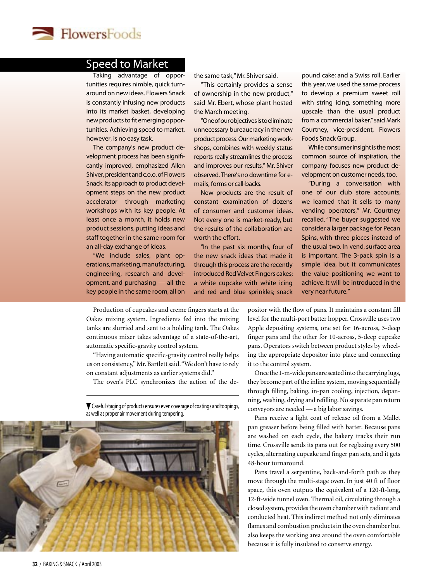

## Speed to Market

Taking advantage of opportunities requires nimble, quick turnaround on new ideas. Flowers Snack is constantly infusing new products into its market basket, developing new products to fit emerging opportunities. Achieving speed to market, however, is no easy task.

The company's new product development process has been significantly improved, emphasized Allen Shiver, president and c.o.o. of Flowers Snack. Its approach to product development steps on the new product accelerator through marketing workshops with its key people. At least once a month, it holds new product sessions, putting ideas and staff together in the same room for an all-day exchange of ideas.

"We include sales, plant operations, marketing, manufacturing, engineering, research and development, and purchasing — all the key people in the same room, all on the same task," Mr. Shiver said.

"This certainly provides a sense of ownership in the new product," said Mr. Ebert, whose plant hosted the March meeting.

"One of our objectives is to eliminate unnecessary bureaucracy in the new product process. Our marketing workshops, combines with weekly status reports really streamlines the process and improves our results," Mr. Shiver observed. There's no downtime for emails, forms or call-backs.

New products are the result of constant examination of dozens of consumer and customer ideas. Not every one is market-ready, but the results of the collaboration are worth the effort.

"In the past six months, four of the new snack ideas that made it through this process are the recently introduced Red Velvet Fingers cakes; a white cupcake with white icing and red and blue sprinkles; snack pound cake; and a Swiss roll. Earlier this year, we used the same process to develop a premium sweet roll with string icing, something more upscale than the usual product from a commercial baker," said Mark Courtney, vice-president, Flowers Foods Snack Group.

While consumer insight is the most common source of inspiration, the company focuses new product development on customer needs, too.

"During a conversation with one of our club store accounts, we learned that it sells to many vending operators," Mr. Courtney recalled. "The buyer suggested we consider a larger package for Pecan Spins, with three pieces instead of the usual two. In vend, surface area is important. The 3-pack spin is a simple idea, but it communicates the value positioning we want to achieve. It will be introduced in the very near future."

Production of cupcakes and creme fingers starts at the Oakes mixing system. Ingredients fed into the mixing tanks are slurried and sent to a holding tank. The Oakes continuous mixer takes advantage of a state-of-the-art, automatic specific-gravity control system.

"Having automatic specific-gravity control really helps us on consistency," Mr. Bartlett said. "We don't have to rely on constant adjustments as earlier systems did."

The oven's PLC synchronizes the action of the de-



 Careful staging of products ensures even coverage of coatings and toppings, as well as proper air movement during tempering.

positor with the flow of pans. It maintains a constant fill level for the multi-port batter hopper. Crossville uses two Apple depositing systems, one set for 16-across, 3-deep finger pans and the other for 10-across, 5-deep cupcake pans. Operators switch between product styles by wheeling the appropriate depositor into place and connecting it to the control system.

Once the 1-m-wide pans are seated into the carrying lugs, they become part of the inline system, moving sequentially through filling, baking, in-pan cooling, injection, depanning, washing, drying and refilling. No separate pan return conveyors are needed — a big labor savings.

Pans receive a light coat of release oil from a Mallet pan greaser before being filled with batter. Because pans are washed on each cycle, the bakery tracks their run time. Crossville sends its pans out for reglazing every 500 cycles, alternating cupcake and finger pan sets, and it gets 48-hour turnaround.

Pans travel a serpentine, back-and-forth path as they move through the multi-stage oven. In just 40 ft of floor space, this oven outputs the equivalent of a 120-ft-long, 12-ft-wide tunnel oven. Thermal oil, circulating through a closed system, provides the oven chamber with radiant and conducted heat. This indirect method not only eliminates flames and combustion products in the oven chamber but also keeps the working area around the oven comfortable because it is fully insulated to conserve energy.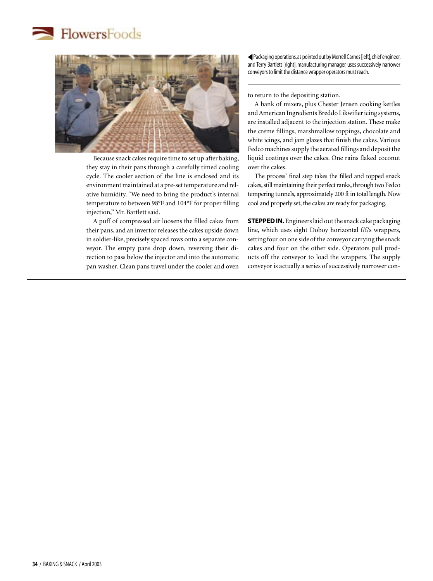



Because snack cakes require time to set up after baking, they stay in their pans through a carefully timed cooling cycle. The cooler section of the line is enclosed and its environment maintained at a pre-set temperature and relative humidity. "We need to bring the product's internal temperature to between 98°F and 104°F for proper filling injection," Mr. Bartlett said.

A puff of compressed air loosens the filled cakes from their pans, and an invertor releases the cakes upside down in soldier-like, precisely spaced rows onto a separate conveyor. The empty pans drop down, reversing their direction to pass below the injector and into the automatic pan washer. Clean pans travel under the cooler and oven  Packaging operations, as pointed out by Merrell Carnes [left], chief engineer, and Terry Bartlett [right], manufacturing manager, uses successively narrower conveyors to limit the distance wrapper operators must reach.

to return to the depositing station.

A bank of mixers, plus Chester Jensen cooking kettles and American Ingredients Breddo Likwifier icing systems, are installed adjacent to the injection station. These make the creme fillings, marshmallow toppings, chocolate and white icings, and jam glazes that finish the cakes. Various Fedco machines supply the aerated fillings and deposit the liquid coatings over the cakes. One rains flaked coconut over the cakes.

The process' final step takes the filled and topped snack cakes, still maintaining their perfect ranks, through two Fedco tempering tunnels, approximately 200 ft in total length. Now cool and properly set, the cakes are ready for packaging.

**STEPPED IN.** Engineers laid out the snack cake packaging line, which uses eight Doboy horizontal f/f/s wrappers, setting four on one side of the conveyor carrying the snack cakes and four on the other side. Operators pull products off the conveyor to load the wrappers. The supply conveyor is actually a series of successively narrower con-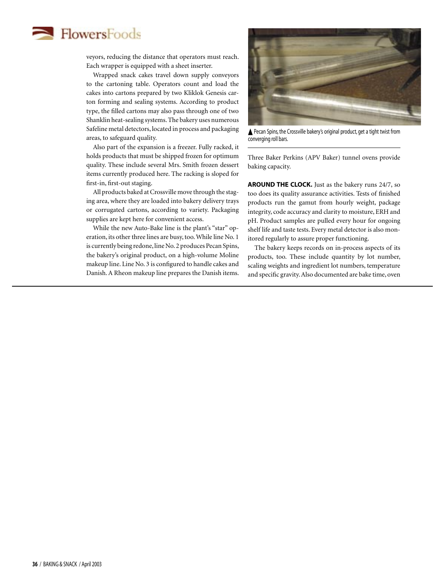## **FlowersFoods**

veyors, reducing the distance that operators must reach. Each wrapper is equipped with a sheet inserter.

Wrapped snack cakes travel down supply conveyors to the cartoning table. Operators count and load the cakes into cartons prepared by two Kliklok Genesis carton forming and sealing systems. According to product type, the filled cartons may also pass through one of two Shanklin heat-sealing systems. The bakery uses numerous Safeline metal detectors, located in process and packaging areas, to safeguard quality.

Also part of the expansion is a freezer. Fully racked, it holds products that must be shipped frozen for optimum quality. These include several Mrs. Smith frozen dessert items currently produced here. The racking is sloped for first-in, first-out staging.

All products baked at Crossville move through the staging area, where they are loaded into bakery delivery trays or corrugated cartons, according to variety. Packaging supplies are kept here for convenient access.

While the new Auto-Bake line is the plant's "star" operation, its other three lines are busy, too. While line No. 1 is currently being redone, line No. 2 produces Pecan Spins, the bakery's original product, on a high-volume Moline makeup line. Line No. 3 is configured to handle cakes and Danish. A Rheon makeup line prepares the Danish items.



Pecan Spins, the Crossville bakery's original product, get a tight twist from converging roll bars.

Three Baker Perkins (APV Baker) tunnel ovens provide baking capacity.

AROUND THE CLOCK. Just as the bakery runs 24/7, so too does its quality assurance activities. Tests of finished products run the gamut from hourly weight, package integrity, code accuracy and clarity to moisture, ERH and pH. Product samples are pulled every hour for ongoing shelf life and taste tests. Every metal detector is also monitored regularly to assure proper functioning.

The bakery keeps records on in-process aspects of its products, too. These include quantity by lot number, scaling weights and ingredient lot numbers, temperature and specific gravity. Also documented are bake time, oven